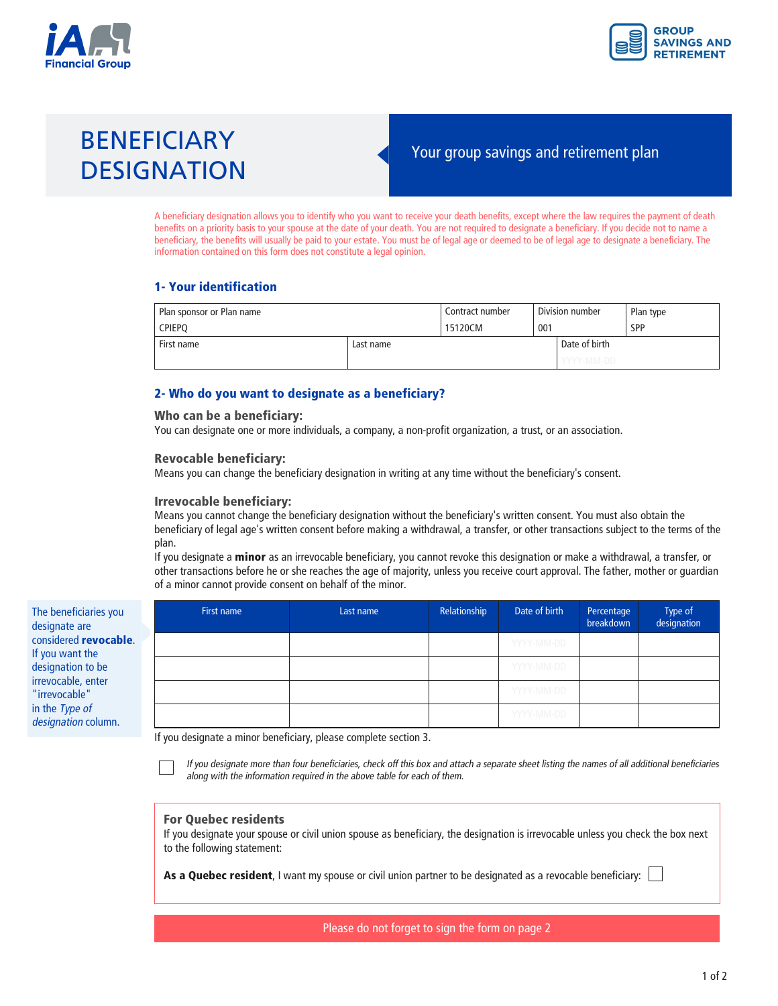



# BENEFICIARY<br>
Your group savings and retirement plan **DESIGNATION**

A beneficiary designation allows you to identify who you want to receive your death benefits, except where the law requires the payment of death benefits on a priority basis to your spouse at the date of your death. You are not required to designate a beneficiary. If you decide not to name a beneficiary, the benefits will usually be paid to your estate. You must be of legal age or deemed to be of legal age to designate a beneficiary. The information contained on this form does not constitute a legal opinion.

# **1- Your identification**

| Plan sponsor or Plan name |           | Contract number | Division number |               | Plan type |
|---------------------------|-----------|-----------------|-----------------|---------------|-----------|
| l Cpiepo                  |           | 15120CM         | 001             |               | SPP       |
| First name                | Last name |                 |                 | Date of birth |           |
|                           |           |                 |                 | ' YYYY-MM-DD  |           |

# **2- Who do you want to designate as a beneficiary?**

#### **Who can be a beneficiary:**

You can designate one or more individuals, a company, a non-profit organization, a trust, or an association.

#### **Revocable beneficiary:**

Means you can change the beneficiary designation in writing at any time without the beneficiary's consent.

#### **Irrevocable beneficiary:**

Means you cannot change the beneficiary designation without the beneficiary's written consent. You must also obtain the beneficiary of legal age's written consent before making a withdrawal, a transfer, or other transactions subject to the terms of the plan.

If you designate a **minor** as an irrevocable beneficiary, you cannot revoke this designation or make a withdrawal, a transfer, or other transactions before he or she reaches the age of majority, unless you receive court approval. The father, mother or guardian of a minor cannot provide consent on behalf of the minor.

| The beneficiaries you         |  |
|-------------------------------|--|
| designate are                 |  |
| considered <b>revocable</b> . |  |
| If you want the               |  |
| designation to be             |  |
| irrevocable, enter            |  |
| "irrevocable"                 |  |
| in the Type of                |  |
| designation column.           |  |
|                               |  |

| First name | Last name | Relationship | Date of birth | Percentage<br>breakdown | Type of<br>designation |
|------------|-----------|--------------|---------------|-------------------------|------------------------|
|            |           |              | YYYY-MM-DD    |                         |                        |
|            |           |              | YYYY-MM-DD    |                         |                        |
|            |           |              | YYYY-MM-DD    |                         |                        |
|            |           |              | YYYY-MM-DD    |                         |                        |

If you designate a minor beneficiary, please complete section 3.

 $\frac{1}{2}$  along with the information required in the above table for each of them *along with the information required in the above table for each of them.*

#### **For Quebec residents**

If you designate your spouse or civil union spouse as beneficiary, the designation is irrevocable unless you check the box next to the following statement:

**As a Quebec resident**, I want my spouse or civil union partner to be designated as a revocable beneficiary: